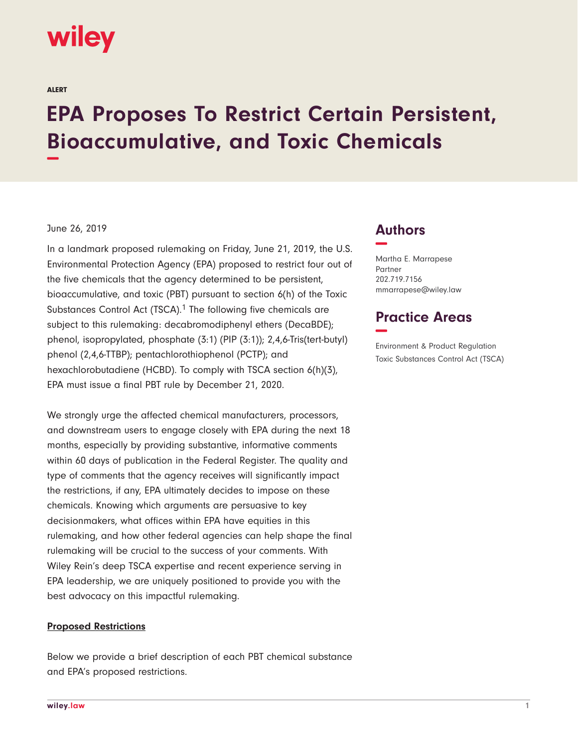# **wiley**

ALERT

# **EPA Proposes To Restrict Certain Persistent, Bioaccumulative, and Toxic Chemicals −**

#### June 26, 2019

In a landmark proposed rulemaking on Friday, June 21, 2019, the U.S. Environmental Protection Agency (EPA) proposed to restrict four out of the five chemicals that the agency determined to be persistent, bioaccumulative, and toxic (PBT) pursuant to section 6(h) of the Toxic Substances Control Act (TSCA).<sup>1</sup> The following five chemicals are subject to this rulemaking: decabromodiphenyl ethers (DecaBDE); phenol, isopropylated, phosphate (3:1) (PIP (3:1)); 2,4,6-Tris(tert-butyl) phenol (2,4,6-TTBP); pentachlorothiophenol (PCTP); and hexachlorobutadiene (HCBD). To comply with TSCA section 6(h)(3), EPA must issue a final PBT rule by December 21, 2020.

We strongly urge the affected chemical manufacturers, processors, and downstream users to engage closely with EPA during the next 18 months, especially by providing substantive, informative comments within 60 days of publication in the Federal Register. The quality and type of comments that the agency receives will significantly impact the restrictions, if any, EPA ultimately decides to impose on these chemicals. Knowing which arguments are persuasive to key decisionmakers, what offices within EPA have equities in this rulemaking, and how other federal agencies can help shape the final rulemaking will be crucial to the success of your comments. With Wiley Rein's deep TSCA expertise and recent experience serving in EPA leadership, we are uniquely positioned to provide you with the best advocacy on this impactful rulemaking.

#### **Proposed Restrictions**

Below we provide a brief description of each PBT chemical substance and EPA's proposed restrictions.

### **Authors −**

Martha E. Marrapese Partner 202.719.7156 mmarrapese@wiley.law

## **Practice Areas −**

Environment & Product Regulation Toxic Substances Control Act (TSCA)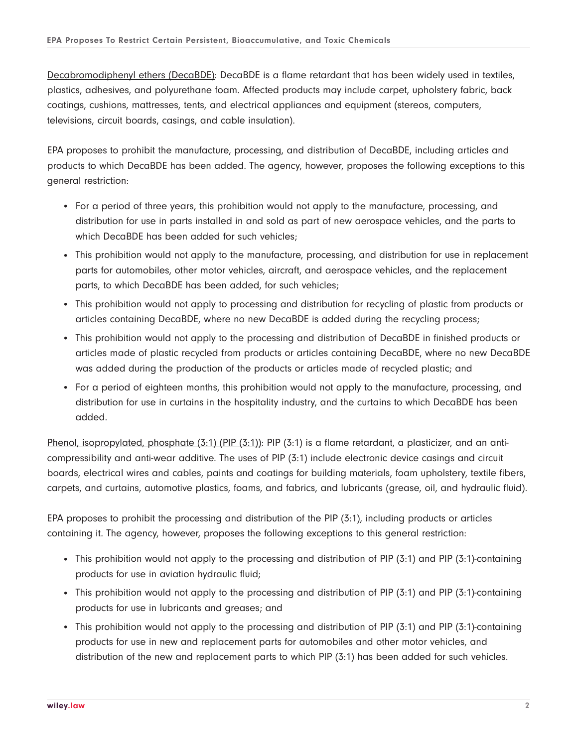Decabromodiphenyl ethers (DecaBDE): DecaBDE is a flame retardant that has been widely used in textiles, plastics, adhesives, and polyurethane foam. Affected products may include carpet, upholstery fabric, back coatings, cushions, mattresses, tents, and electrical appliances and equipment (stereos, computers, televisions, circuit boards, casings, and cable insulation).

EPA proposes to prohibit the manufacture, processing, and distribution of DecaBDE, including articles and products to which DecaBDE has been added. The agency, however, proposes the following exceptions to this general restriction:

- For a period of three years, this prohibition would not apply to the manufacture, processing, and distribution for use in parts installed in and sold as part of new aerospace vehicles, and the parts to which DecaBDE has been added for such vehicles;
- This prohibition would not apply to the manufacture, processing, and distribution for use in replacement parts for automobiles, other motor vehicles, aircraft, and aerospace vehicles, and the replacement parts, to which DecaBDE has been added, for such vehicles;
- This prohibition would not apply to processing and distribution for recycling of plastic from products or articles containing DecaBDE, where no new DecaBDE is added during the recycling process;
- This prohibition would not apply to the processing and distribution of DecaBDE in finished products or articles made of plastic recycled from products or articles containing DecaBDE, where no new DecaBDE was added during the production of the products or articles made of recycled plastic; and
- For a period of eighteen months, this prohibition would not apply to the manufacture, processing, and distribution for use in curtains in the hospitality industry, and the curtains to which DecaBDE has been added.

Phenol, isopropylated, phosphate  $(3:1)$  (PIP  $(3:1)$ ): PIP  $(3:1)$  is a flame retardant, a plasticizer, and an anticompressibility and anti-wear additive. The uses of PIP (3:1) include electronic device casings and circuit boards, electrical wires and cables, paints and coatings for building materials, foam upholstery, textile fibers, carpets, and curtains, automotive plastics, foams, and fabrics, and lubricants (grease, oil, and hydraulic fluid).

EPA proposes to prohibit the processing and distribution of the PIP (3:1), including products or articles containing it. The agency, however, proposes the following exceptions to this general restriction:

- This prohibition would not apply to the processing and distribution of PIP (3:1) and PIP (3:1)-containing products for use in aviation hydraulic fluid;
- This prohibition would not apply to the processing and distribution of PIP (3:1) and PIP (3:1)-containing products for use in lubricants and greases; and
- This prohibition would not apply to the processing and distribution of PIP (3:1) and PIP (3:1)-containing products for use in new and replacement parts for automobiles and other motor vehicles, and distribution of the new and replacement parts to which PIP (3:1) has been added for such vehicles.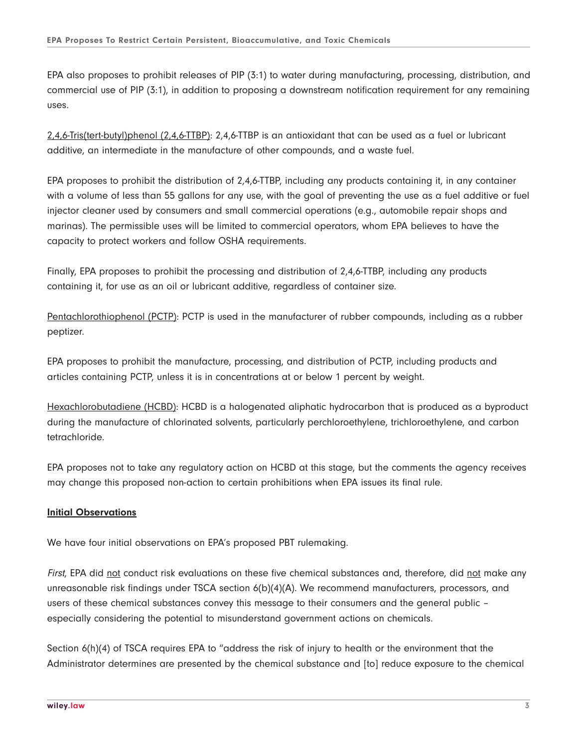EPA also proposes to prohibit releases of PIP (3:1) to water during manufacturing, processing, distribution, and commercial use of PIP (3:1), in addition to proposing a downstream notification requirement for any remaining uses.

2,4,6-Tris(tert-butyl)phenol (2,4,6-TTBP): 2,4,6-TTBP is an antioxidant that can be used as a fuel or lubricant additive, an intermediate in the manufacture of other compounds, and a waste fuel.

EPA proposes to prohibit the distribution of 2,4,6-TTBP, including any products containing it, in any container with a volume of less than 55 gallons for any use, with the goal of preventing the use as a fuel additive or fuel injector cleaner used by consumers and small commercial operations (e.g., automobile repair shops and marinas). The permissible uses will be limited to commercial operators, whom EPA believes to have the capacity to protect workers and follow OSHA requirements.

Finally, EPA proposes to prohibit the processing and distribution of 2,4,6-TTBP, including any products containing it, for use as an oil or lubricant additive, regardless of container size.

Pentachlorothiophenol (PCTP): PCTP is used in the manufacturer of rubber compounds, including as a rubber peptizer.

EPA proposes to prohibit the manufacture, processing, and distribution of PCTP, including products and articles containing PCTP, unless it is in concentrations at or below 1 percent by weight.

Hexachlorobutadiene (HCBD): HCBD is a halogenated aliphatic hydrocarbon that is produced as a byproduct during the manufacture of chlorinated solvents, particularly perchloroethylene, trichloroethylene, and carbon tetrachloride.

EPA proposes not to take any regulatory action on HCBD at this stage, but the comments the agency receives may change this proposed non-action to certain prohibitions when EPA issues its final rule.

#### **Initial Observations**

We have four initial observations on EPA's proposed PBT rulemaking.

First, EPA did not conduct risk evaluations on these five chemical substances and, therefore, did not make any unreasonable risk findings under TSCA section 6(b)(4)(A). We recommend manufacturers, processors, and users of these chemical substances convey this message to their consumers and the general public – especially considering the potential to misunderstand government actions on chemicals.

Section 6(h)(4) of TSCA requires EPA to "address the risk of injury to health or the environment that the Administrator determines are presented by the chemical substance and [to] reduce exposure to the chemical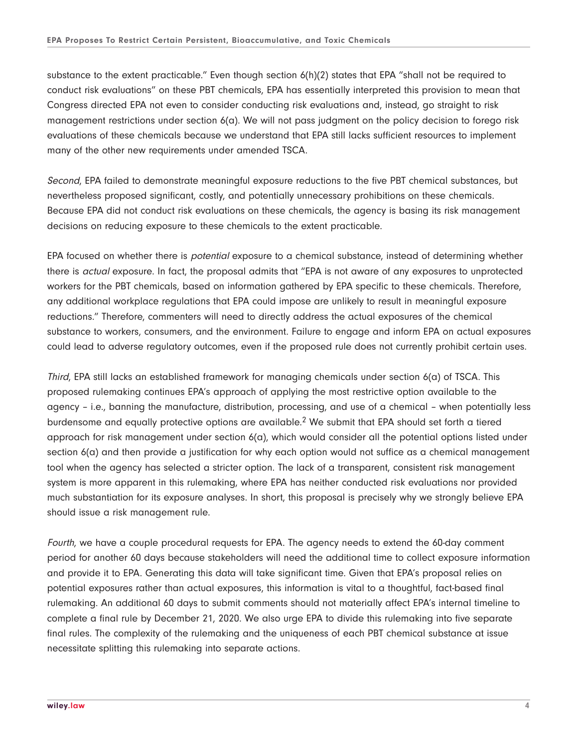substance to the extent practicable." Even though section 6(h)(2) states that EPA "shall not be required to conduct risk evaluations" on these PBT chemicals, EPA has essentially interpreted this provision to mean that Congress directed EPA not even to consider conducting risk evaluations and, instead, go straight to risk management restrictions under section 6(a). We will not pass judgment on the policy decision to forego risk evaluations of these chemicals because we understand that EPA still lacks sufficient resources to implement many of the other new requirements under amended TSCA.

Second, EPA failed to demonstrate meaningful exposure reductions to the five PBT chemical substances, but nevertheless proposed significant, costly, and potentially unnecessary prohibitions on these chemicals. Because EPA did not conduct risk evaluations on these chemicals, the agency is basing its risk management decisions on reducing exposure to these chemicals to the extent practicable.

EPA focused on whether there is *potential* exposure to a chemical substance, instead of determining whether there is actual exposure. In fact, the proposal admits that "EPA is not aware of any exposures to unprotected workers for the PBT chemicals, based on information gathered by EPA specific to these chemicals. Therefore, any additional workplace regulations that EPA could impose are unlikely to result in meaningful exposure reductions." Therefore, commenters will need to directly address the actual exposures of the chemical substance to workers, consumers, and the environment. Failure to engage and inform EPA on actual exposures could lead to adverse regulatory outcomes, even if the proposed rule does not currently prohibit certain uses.

Third, EPA still lacks an established framework for managing chemicals under section  $6(a)$  of TSCA. This proposed rulemaking continues EPA's approach of applying the most restrictive option available to the agency – i.e., banning the manufacture, distribution, processing, and use of a chemical – when potentially less burdensome and equally protective options are available.2 We submit that EPA should set forth a tiered approach for risk management under section 6(a), which would consider all the potential options listed under section  $6(a)$  and then provide a justification for why each option would not suffice as a chemical management tool when the agency has selected a stricter option. The lack of a transparent, consistent risk management system is more apparent in this rulemaking, where EPA has neither conducted risk evaluations nor provided much substantiation for its exposure analyses. In short, this proposal is precisely why we strongly believe EPA should issue a risk management rule.

Fourth, we have a couple procedural requests for EPA. The agency needs to extend the 60-day comment period for another 60 days because stakeholders will need the additional time to collect exposure information and provide it to EPA. Generating this data will take significant time. Given that EPA's proposal relies on potential exposures rather than actual exposures, this information is vital to a thoughtful, fact-based final rulemaking. An additional 60 days to submit comments should not materially affect EPA's internal timeline to complete a final rule by December 21, 2020. We also urge EPA to divide this rulemaking into five separate final rules. The complexity of the rulemaking and the uniqueness of each PBT chemical substance at issue necessitate splitting this rulemaking into separate actions.